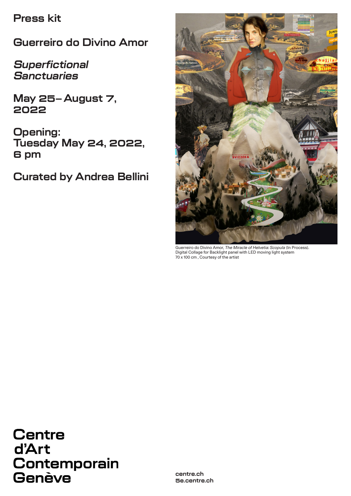**Press kit**

**Guerreiro do Divino Amor**

**Superfictional Sanctuaries**

**May 25–August 7, 2022**

**Opening: Tuesday May 24, 2022, 6 pm**

**Curated by Andrea Bellini**



Guerreiro do Divino Amor, The Miracle of Helvetia: *Scopula* (In Process). Digital Collage for Backlight panel with LED moving light system 70 x 100 cm , Courtesy of the artist

**Centre** d'Art Contemporain Genève

**centre.ch 5e.centre.ch**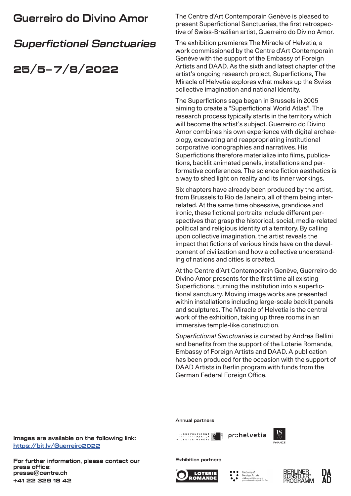# **Guerreiro do Divino Amor**

# **Superfictional Sanctuaries**

# **25/5–7/8/2022**

The Centre d'Art Contemporain Genève is pleased to present Superfictional Sanctuaries, the first retrospective of Swiss-Brazilian artist, Guerreiro do Divino Amor.

The exhibition premieres The Miracle of Helvetia, a work commissioned by the Centre d'Art Contemporain Genève with the support of the Embassy of Foreign Artists and DAAD. As the sixth and latest chapter of the artist's ongoing research project, Superfictions, The Miracle of Helvetia explores what makes up the Swiss collective imagination and national identity.

The Superfictions saga began in Brussels in 2005 aiming to create a "Superfictional World Atlas". The research process typically starts in the territory which will become the artist's subject. Guerreiro do Divino Amor combines his own experience with digital archaeology, excavating and reappropriating institutional corporative iconographies and narratives. His Superfictions therefore materialize into films, publications, backlit animated panels, installations and performative conferences. The science fiction aesthetics is a way to shed light on reality and its inner workings.

Six chapters have already been produced by the artist, from Brussels to Rio de Janeiro, all of them being interrelated. At the same time obsessive, grandiose and ironic, these fictional portraits include different perspectives that grasp the historical, social, media-related political and religious identity of a territory. By calling upon collective imagination, the artist reveals the impact that fictions of various kinds have on the development of civilization and how a collective understanding of nations and cities is created.

At the Centre d'Art Contemporain Genève, Guerreiro do Divino Amor presents for the first time all existing Superfictions, turning the institution into a superfictional sanctuary. Moving image works are presented within installations including large-scale backlit panels and sculptures. The Miracle of Helvetia is the central work of the exhibition, taking up three rooms in an immersive temple-like construction.

*Superfictional Sanctuaries* is curated by Andrea Bellini and benefits from the support of the Loterie Romande, Embassy of Foreign Artists and DAAD. A publication has been produced for the occasion with the support of DAAD Artists in Berlin program with funds from the German Federal Foreign Office.

#### **Annual partners**





**Exhibition partners**









**Images are available on the following link: https://bit.ly/Guerreiro2022**

**For further information, please contact our press office: presse@centre.ch +41 22 329 18 42**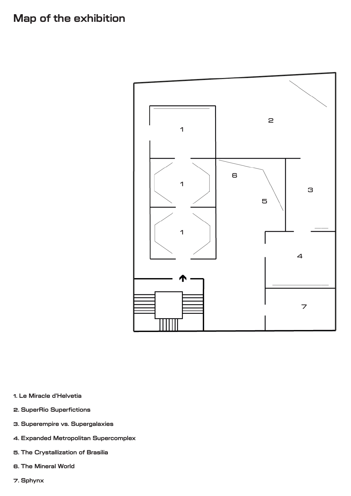# **Map of the exhibition**



- **1. Le Miracle d'Helvetia**
- **2. SuperRio Superfictions**
- **3. Superempire vs. Supergalaxies**
- **4. Expanded Metropolitan Supercomplex**
- **5. The Crystallization of Brasília**
- **6. The Mineral World**
- **7. Sphynx**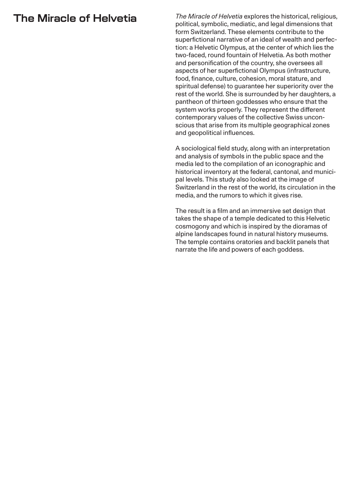# **The Miracle of Helvetia**

*The Miracle of Helvetia* explores the historical, religious, political, symbolic, mediatic, and legal dimensions that form Switzerland. These elements contribute to the superfictional narrative of an ideal of wealth and perfection: a Helvetic Olympus, at the center of which lies the two-faced, round fountain of Helvetia. As both mother and personification of the country, she oversees all aspects of her superfictional Olympus (infrastructure, food, finance, culture, cohesion, moral stature, and spiritual defense) to guarantee her superiority over the rest of the world. She is surrounded by her daughters, a pantheon of thirteen goddesses who ensure that the system works properly. They represent the different contemporary values of the collective Swiss unconscious that arise from its multiple geographical zones and geopolitical influences.

A sociological field study, along with an interpretation and analysis of symbols in the public space and the media led to the compilation of an iconographic and historical inventory at the federal, cantonal, and municipal levels. This study also looked at the image of Switzerland in the rest of the world, its circulation in the media, and the rumors to which it gives rise.

The result is a film and an immersive set design that takes the shape of a temple dedicated to this Helvetic cosmogony and which is inspired by the dioramas of alpine landscapes found in natural history museums. The temple contains oratories and backlit panels that narrate the life and powers of each goddess.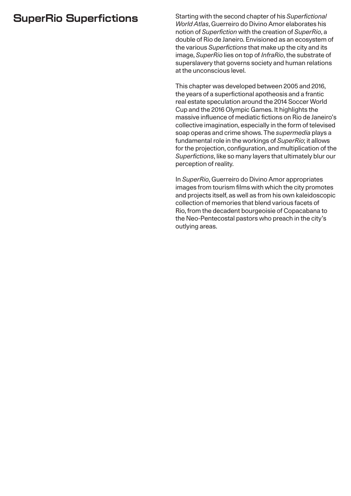# **SuperRio Superfictions**

Starting with the second chapter of his *Superfictional World Atlas*, Guerreiro do Divino Amor elaborates his notion of *Superfiction* with the creation of *SuperRio*, a double of Rio de Janeiro. Envisioned as an ecosystem of the various *Superfictions* that make up the city and its image, *SuperRio* lies on top of *InfraRio*, the substrate of superslavery that governs society and human relations at the unconscious level.

This chapter was developed between 2005 and 2016, the years of a superfictional apotheosis and a frantic real estate speculation around the 2014 Soccer World Cup and the 2016 Olympic Games. It highlights the massive influence of mediatic fictions on Rio de Janeiro's collective imagination, especially in the form of televised soap operas and crime shows. The *supermedia* plays a fundamental role in the workings of *SuperRio*; it allows for the projection, configuration, and multiplication of the *Superfictions*, like so many layers that ultimately blur our perception of reality.

In *SuperRio*, Guerreiro do Divino Amor appropriates images from tourism films with which the city promotes and projects itself, as well as from his own kaleidoscopic collection of memories that blend various facets of Rio, from the decadent bourgeoisie of Copacabana to the Neo-Pentecostal pastors who preach in the city's outlying areas.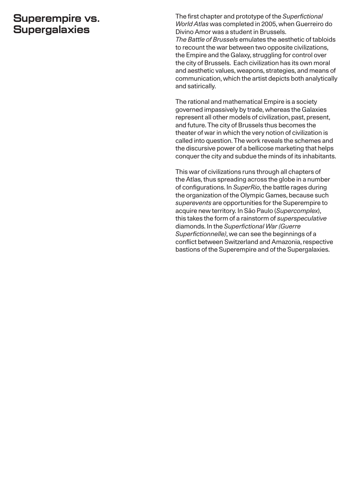#### **Superempire vs. Supergalaxies**

The first chapter and prototype of the *Superfictional World Atlas* was completed in 2005, when Guerreiro do Divino Amor was a student in Brussels.

*The Battle of Brussels* emulates the aesthetic of tabloids to recount the war between two opposite civilizations, the Empire and the Galaxy, struggling for control over the city of Brussels. Each civilization has its own moral and aesthetic values, weapons, strategies, and means of communication, which the artist depicts both analytically and satirically.

The rational and mathematical Empire is a society governed impassively by trade, whereas the Galaxies represent all other models of civilization, past, present, and future. The city of Brussels thus becomes the theater of war in which the very notion of civilization is called into question. The work reveals the schemes and the discursive power of a bellicose marketing that helps conquer the city and subdue the minds of its inhabitants.

This war of civilizations runs through all chapters of the Atlas, thus spreading across the globe in a number of configurations. In *SuperRio*, the battle rages during the organization of the Olympic Games, because such *superevents* are opportunities for the Superempire to acquire new territory. In São Paulo (*Supercomplex*), this takes the form of a rainstorm of *superspeculative* diamonds. In the *Superfictional War (Guerre Superfictionnelle)*, we can see the beginnings of a conflict between Switzerland and Amazonia, respective bastions of the Superempire and of the Supergalaxies.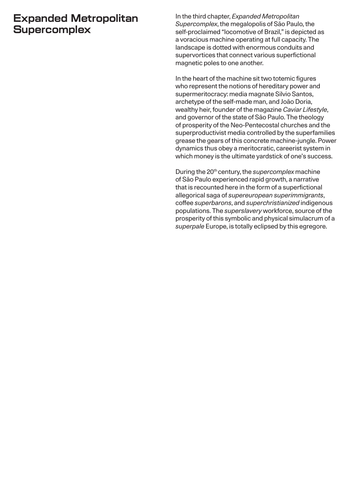## **Expanded Metropolitan Supercomplex**

In the third chapter, *Expanded Metropolitan Supercomplex*, the megalopolis of São Paulo, the self-proclaimed "locomotive of Brazil," is depicted as a voracious machine operating at full capacity. The landscape is dotted with enormous conduits and supervortices that connect various superfictional magnetic poles to one another.

In the heart of the machine sit two totemic figures who represent the notions of hereditary power and supermeritocracy: media magnate Silvio Santos, archetype of the self-made man, and João Doria, wealthy heir, founder of the magazine *Caviar Lifestyle*, and governor of the state of São Paulo. The theology of prosperity of the Neo-Pentecostal churches and the superproductivist media controlled by the superfamilies grease the gears of this concrete machine-jungle. Power dynamics thus obey a meritocratic, careerist system in which money is the ultimate yardstick of one's success.

During the 20th century, the *supercomplex* machine of São Paulo experienced rapid growth, a narrative that is recounted here in the form of a superfictional allegorical saga of *supereuropean superimmigrants*, coffee *superbarons*, and *superchristianized* indigenous populations. The *superslavery* workforce, source of the prosperity of this symbolic and physical simulacrum of a *superpale* Europe, is totally eclipsed by this egregore.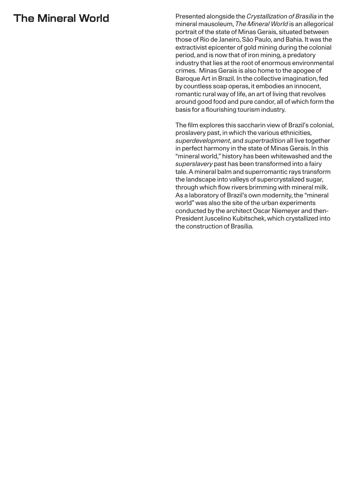# **The Mineral World**

Presented alongside the *Crystallization of Brasília* in the mineral mausoleum, *The Mineral World* is an allegorical portrait of the state of Minas Gerais, situated between those of Rio de Janeiro, São Paulo, and Bahia. It was the extractivist epicenter of gold mining during the colonial period, and is now that of iron mining, a predatory industry that lies at the root of enormous environmental crimes. Minas Gerais is also home to the apogee of Baroque Art in Brazil. In the collective imagination, fed by countless soap operas, it embodies an innocent, romantic rural way of life, an art of living that revolves around good food and pure candor, all of which form the basis for a flourishing tourism industry.

The film explores this saccharin view of Brazil's colonial, proslavery past, in which the various ethnicities, *superdevelopment*, and *supertradition* all live together in perfect harmony in the state of Minas Gerais. In this "mineral world," history has been whitewashed and the *superslavery* past has been transformed into a fairy tale. A mineral balm and superromantic rays transform the landscape into valleys of supercrystalized sugar, through which flow rivers brimming with mineral milk. As a laboratory of Brazil's own modernity, the "mineral world" was also the site of the urban experiments conducted by the architect Oscar Niemeyer and then-President Juscelino Kubitschek, which crystallized into the construction of Brasília.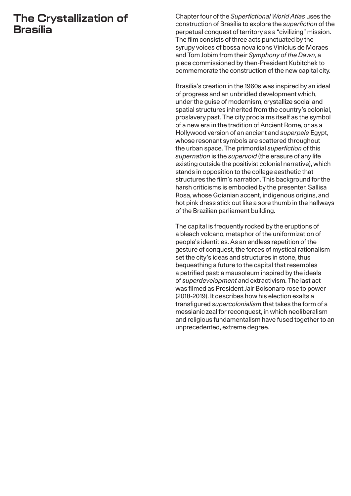## **The Crystallization of Brasília**

Chapter four of the *Superfictional World Atlas* uses the construction of Brasília to explore the *superfiction* of the perpetual conquest of territory as a "civilizing" mission. The film consists of three acts punctuated by the syrupy voices of bossa nova icons Vinícius de Moraes and Tom Jobim from their *Symphony of the Dawn*, a piece commissioned by then-President Kubitchek to commemorate the construction of the new capital city.

Brasília's creation in the 1960s was inspired by an ideal of progress and an unbridled development which, under the guise of modernism, crystallize social and spatial structures inherited from the country's colonial, proslavery past. The city proclaims itself as the symbol of a new era in the tradition of Ancient Rome, or as a Hollywood version of an ancient and *superpale* Egypt, whose resonant symbols are scattered throughout the urban space. The primordial *superfiction* of this *supernation* is the *supervoid* (the erasure of any life existing outside the positivist colonial narrative), which stands in opposition to the collage aesthetic that structures the film's narration. This background for the harsh criticisms is embodied by the presenter, Sallisa Rosa, whose Goianian accent, indigenous origins, and hot pink dress stick out like a sore thumb in the hallways of the Brazilian parliament building.

The capital is frequently rocked by the eruptions of a bleach volcano, metaphor of the uniformization of people's identities. As an endless repetition of the gesture of conquest, the forces of mystical rationalism set the city's ideas and structures in stone, thus bequeathing a future to the capital that resembles a petrified past: a mausoleum inspired by the ideals of *superdevelopment* and extractivism. The last act was filmed as President Jair Bolsonaro rose to power (2018-2019). It describes how his election exalts a transfigured *supercolonialism* that takes the form of a messianic zeal for reconquest, in which neoliberalism and religious fundamentalism have fused together to an unprecedented, extreme degree.